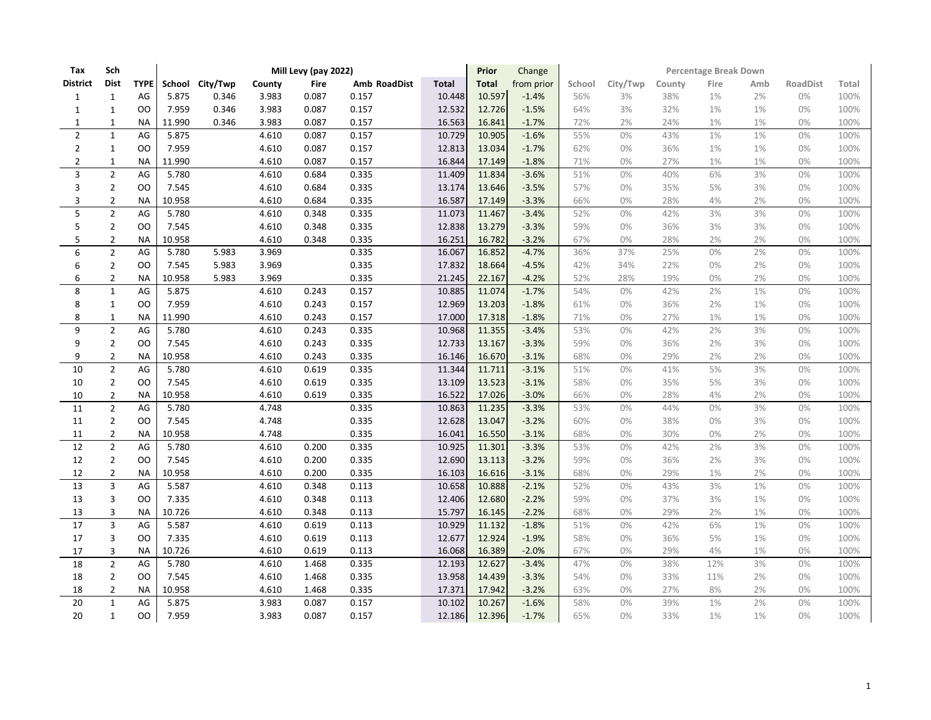| Tax            | Sch            |                | Mill Levy (pay 2022) |                 |        |       |              |              |              | Change     | Percentage Break Down |          |        |      |       |                 |       |  |
|----------------|----------------|----------------|----------------------|-----------------|--------|-------|--------------|--------------|--------------|------------|-----------------------|----------|--------|------|-------|-----------------|-------|--|
| District       | <b>Dist</b>    | <b>TYPE</b>    |                      | School City/Twp | County | Fire  | Amb RoadDist | <b>Total</b> | <b>Total</b> | from prior | School                | City/Twp | County | Fire | Amb   | <b>RoadDist</b> | Total |  |
| 1              | $\mathbf{1}$   | AG             | 5.875                | 0.346           | 3.983  | 0.087 | 0.157        | 10.448       | 10.597       | $-1.4%$    | 56%                   | 3%       | 38%    | 1%   | 2%    | 0%              | 100%  |  |
| 1              | $\mathbf{1}$   | <b>OO</b>      | 7.959                | 0.346           | 3.983  | 0.087 | 0.157        | 12.532       | 12.726       | $-1.5%$    | 64%                   | 3%       | 32%    | 1%   | 1%    | 0%              | 100%  |  |
| 1              | 1              | NA             | 11.990               | 0.346           | 3.983  | 0.087 | 0.157        | 16.563       | 16.841       | $-1.7%$    | 72%                   | 2%       | 24%    | 1%   | 1%    | 0%              | 100%  |  |
| $\overline{2}$ | $\mathbf{1}$   | AG             | 5.875                |                 | 4.610  | 0.087 | 0.157        | 10.729       | 10.905       | $-1.6%$    | 55%                   | 0%       | 43%    | 1%   | 1%    | 0%              | 100%  |  |
| 2              | $\mathbf{1}$   | <sub>00</sub>  | 7.959                |                 | 4.610  | 0.087 | 0.157        | 12.813       | 13.034       | $-1.7%$    | 62%                   | 0%       | 36%    | 1%   | 1%    | 0%              | 100%  |  |
| 2              | $\mathbf{1}$   | <b>NA</b>      | 11.990               |                 | 4.610  | 0.087 | 0.157        | 16.844       | 17.149       | $-1.8%$    | 71%                   | 0%       | 27%    | 1%   | $1\%$ | 0%              | 100%  |  |
| 3              | $\overline{2}$ | AG             | 5.780                |                 | 4.610  | 0.684 | 0.335        | 11.409       | 11.834       | $-3.6%$    | 51%                   | 0%       | 40%    | 6%   | 3%    | 0%              | 100%  |  |
| 3              | $\overline{2}$ | <b>OO</b>      | 7.545                |                 | 4.610  | 0.684 | 0.335        | 13.174       | 13.646       | $-3.5%$    | 57%                   | 0%       | 35%    | 5%   | 3%    | 0%              | 100%  |  |
| 3              | $\overline{2}$ | <b>NA</b>      | 10.958               |                 | 4.610  | 0.684 | 0.335        | 16.587       | 17.149       | $-3.3%$    | 66%                   | 0%       | 28%    | 4%   | 2%    | 0%              | 100%  |  |
| 5              | $\overline{2}$ | AG             | 5.780                |                 | 4.610  | 0.348 | 0.335        | 11.073       | 11.467       | $-3.4%$    | 52%                   | 0%       | 42%    | 3%   | 3%    | 0%              | 100%  |  |
| 5              | $\overline{2}$ | <sub>00</sub>  | 7.545                |                 | 4.610  | 0.348 | 0.335        | 12.838       | 13.279       | $-3.3%$    | 59%                   | 0%       | 36%    | 3%   | 3%    | 0%              | 100%  |  |
| 5              | $\overline{2}$ | <b>NA</b>      | 10.958               |                 | 4.610  | 0.348 | 0.335        | 16.251       | 16.782       | $-3.2%$    | 67%                   | 0%       | 28%    | 2%   | 2%    | 0%              | 100%  |  |
| 6              | $\overline{2}$ | AG             | 5.780                | 5.983           | 3.969  |       | 0.335        | 16.067       | 16.852       | $-4.7%$    | 36%                   | 37%      | 25%    | 0%   | 2%    | 0%              | 100%  |  |
| 6              | $\overline{2}$ | O <sub>O</sub> | 7.545                | 5.983           | 3.969  |       | 0.335        | 17.832       | 18.664       | $-4.5%$    | 42%                   | 34%      | 22%    | 0%   | 2%    | 0%              | 100%  |  |
| 6              | $\overline{2}$ | <b>NA</b>      | 10.958               | 5.983           | 3.969  |       | 0.335        | 21.245       | 22.167       | $-4.2%$    | 52%                   | 28%      | 19%    | 0%   | 2%    | 0%              | 100%  |  |
| 8              | $\mathbf 1$    | AG             | 5.875                |                 | 4.610  | 0.243 | 0.157        | 10.885       | 11.074       | $-1.7%$    | 54%                   | 0%       | 42%    | 2%   | 1%    | 0%              | 100%  |  |
| 8              | $\mathbf{1}$   | <sub>0</sub>   | 7.959                |                 | 4.610  | 0.243 | 0.157        | 12.969       | 13.203       | $-1.8%$    | 61%                   | 0%       | 36%    | 2%   | 1%    | 0%              | 100%  |  |
| 8              | $\mathbf{1}$   | <b>NA</b>      | 11.990               |                 | 4.610  | 0.243 | 0.157        | 17.000       | 17.318       | $-1.8%$    | 71%                   | 0%       | 27%    | 1%   | 1%    | 0%              | 100%  |  |
| 9              | $\overline{2}$ | AG             | 5.780                |                 | 4.610  | 0.243 | 0.335        | 10.968       | 11.355       | $-3.4%$    | 53%                   | 0%       | 42%    | 2%   | 3%    | 0%              | 100%  |  |
| 9              | $\overline{2}$ | <sub>00</sub>  | 7.545                |                 | 4.610  | 0.243 | 0.335        | 12.733       | 13.167       | $-3.3%$    | 59%                   | 0%       | 36%    | 2%   | 3%    | 0%              | 100%  |  |
| 9              | $\overline{2}$ | <b>NA</b>      | 10.958               |                 | 4.610  | 0.243 | 0.335        | 16.146       | 16.670       | $-3.1%$    | 68%                   | 0%       | 29%    | 2%   | 2%    | 0%              | 100%  |  |
| 10             | $\overline{2}$ | AG             | 5.780                |                 | 4.610  | 0.619 | 0.335        | 11.344       | 11.711       | $-3.1%$    | 51%                   | 0%       | 41%    | 5%   | 3%    | 0%              | 100%  |  |
| 10             | $\overline{2}$ | <sub>00</sub>  | 7.545                |                 | 4.610  | 0.619 | 0.335        | 13.109       | 13.523       | $-3.1%$    | 58%                   | 0%       | 35%    | 5%   | 3%    | 0%              | 100%  |  |
| 10             | $\overline{2}$ | <b>NA</b>      | 10.958               |                 | 4.610  | 0.619 | 0.335        | 16.522       | 17.026       | $-3.0%$    | 66%                   | 0%       | 28%    | 4%   | 2%    | 0%              | 100%  |  |
| 11             | $\overline{2}$ | AG             | 5.780                |                 | 4.748  |       | 0.335        | 10.863       | 11.235       | $-3.3%$    | 53%                   | 0%       | 44%    | 0%   | 3%    | 0%              | 100%  |  |
| 11             | $\overline{2}$ | <sub>OO</sub>  | 7.545                |                 | 4.748  |       | 0.335        | 12.628       | 13.047       | $-3.2%$    | 60%                   | 0%       | 38%    | 0%   | 3%    | 0%              | 100%  |  |
| 11             | $\overline{2}$ | <b>NA</b>      | 10.958               |                 | 4.748  |       | 0.335        | 16.041       | 16.550       | $-3.1%$    | 68%                   | 0%       | 30%    | 0%   | 2%    | 0%              | 100%  |  |
| 12             | $\overline{2}$ | AG             | 5.780                |                 | 4.610  | 0.200 | 0.335        | 10.925       | 11.301       | $-3.3%$    | 53%                   | 0%       | 42%    | 2%   | 3%    | 0%              | 100%  |  |
| 12             | $\overline{2}$ | <b>OO</b>      | 7.545                |                 | 4.610  | 0.200 | 0.335        | 12.690       | 13.113       | $-3.2%$    | 59%                   | 0%       | 36%    | 2%   | 3%    | 0%              | 100%  |  |
| 12             | $\overline{2}$ | <b>NA</b>      | 10.958               |                 | 4.610  | 0.200 | 0.335        | 16.103       | 16.616       | $-3.1%$    | 68%                   | 0%       | 29%    | 1%   | 2%    | 0%              | 100%  |  |
| 13             | 3              | AG             | 5.587                |                 | 4.610  | 0.348 | 0.113        | 10.658       | 10.888       | $-2.1%$    | 52%                   | 0%       | 43%    | 3%   | 1%    | 0%              | 100%  |  |
| 13             | 3              | <sub>OO</sub>  | 7.335                |                 | 4.610  | 0.348 | 0.113        | 12.406       | 12.680       | $-2.2%$    | 59%                   | 0%       | 37%    | 3%   | 1%    | 0%              | 100%  |  |
| 13             | 3              | <b>NA</b>      | 10.726               |                 | 4.610  | 0.348 | 0.113        | 15.797       | 16.145       | $-2.2%$    | 68%                   | 0%       | 29%    | 2%   | 1%    | 0%              | 100%  |  |
| 17             | 3              | AG             | 5.587                |                 | 4.610  | 0.619 | 0.113        | 10.929       | 11.132       | $-1.8%$    | 51%                   | 0%       | 42%    | 6%   | 1%    | 0%              | 100%  |  |
| 17             | 3              | <sub>OO</sub>  | 7.335                |                 | 4.610  | 0.619 | 0.113        | 12.677       | 12.924       | $-1.9%$    | 58%                   | 0%       | 36%    | 5%   | 1%    | 0%              | 100%  |  |
| 17             | 3              | <b>NA</b>      | 10.726               |                 | 4.610  | 0.619 | 0.113        | 16.068       | 16.389       | $-2.0%$    | 67%                   | 0%       | 29%    | 4%   | $1\%$ | 0%              | 100%  |  |
| 18             | $\overline{2}$ | AG             | 5.780                |                 | 4.610  | 1.468 | 0.335        | 12.193       | 12.627       | $-3.4%$    | 47%                   | 0%       | 38%    | 12%  | 3%    | 0%              | 100%  |  |
| 18             | $\overline{2}$ | <b>OO</b>      | 7.545                |                 | 4.610  | 1.468 | 0.335        | 13.958       | 14.439       | $-3.3%$    | 54%                   | 0%       | 33%    | 11%  | 2%    | 0%              | 100%  |  |
| 18             | $\overline{2}$ | <b>NA</b>      | 10.958               |                 | 4.610  | 1.468 | 0.335        | 17.371       | 17.942       | $-3.2%$    | 63%                   | 0%       | 27%    | 8%   | 2%    | 0%              | 100%  |  |
| 20             | $\mathbf 1$    | AG             | 5.875                |                 | 3.983  | 0.087 | 0.157        | 10.102       | 10.267       | $-1.6%$    | 58%                   | 0%       | 39%    | 1%   | 2%    | 0%              | 100%  |  |
| 20             | $\mathbf{1}$   | OO             | 7.959                |                 | 3.983  | 0.087 | 0.157        | 12.186       | 12.396       | $-1.7%$    | 65%                   | 0%       | 33%    | 1%   | 1%    | 0%              | 100%  |  |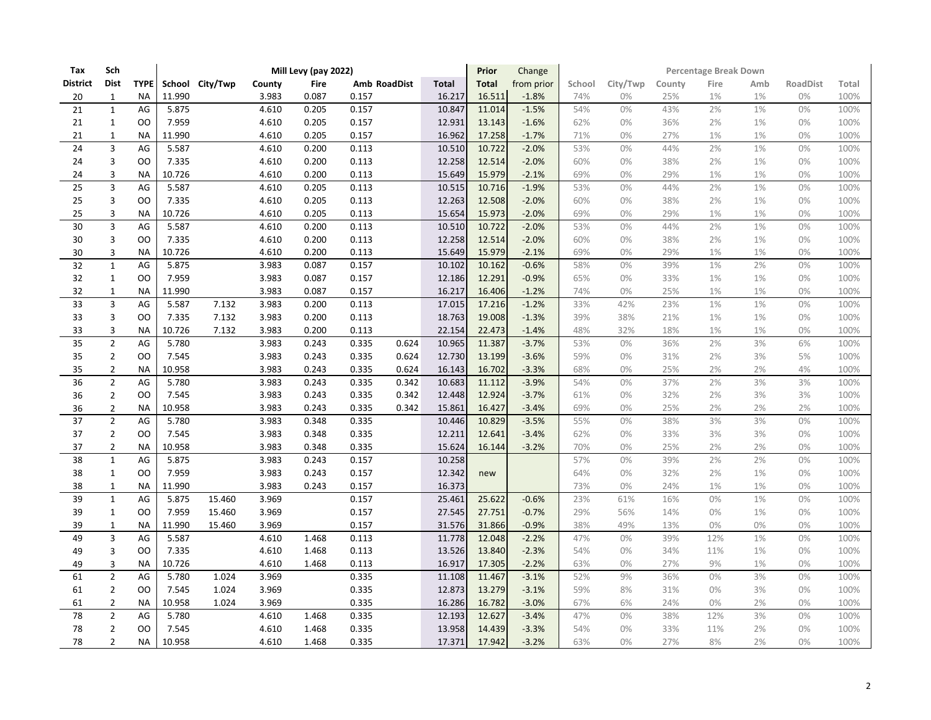| Tax             | Sch            |                | Mill Levy (pay 2022) |                 |        |             |              |       |              |              | Change     | Percentage Break Down |          |        |      |       |          |       |  |
|-----------------|----------------|----------------|----------------------|-----------------|--------|-------------|--------------|-------|--------------|--------------|------------|-----------------------|----------|--------|------|-------|----------|-------|--|
| <b>District</b> | <b>Dist</b>    | <b>TYPE</b>    |                      | School City/Twp | County | <b>Fire</b> | Amb RoadDist |       | <b>Total</b> | <b>Total</b> | from prior | School                | City/Twp | County | Fire | Amb   | RoadDist | Total |  |
| 20              | $\mathbf{1}$   | <b>NA</b>      | 11.990               |                 | 3.983  | 0.087       | 0.157        |       | 16.217       | 16.511       | $-1.8%$    | 74%                   | 0%       | 25%    | 1%   | 1%    | 0%       | 100%  |  |
| 21              | $\mathbf{1}$   | AG             | 5.875                |                 | 4.610  | 0.205       | 0.157        |       | 10.847       | 11.014       | $-1.5%$    | 54%                   | 0%       | 43%    | 2%   | 1%    | 0%       | 100%  |  |
| 21              | $\mathbf 1$    | <b>OO</b>      | 7.959                |                 | 4.610  | 0.205       | 0.157        |       | 12.931       | 13.143       | $-1.6%$    | 62%                   | $0\%$    | 36%    | 2%   | 1%    | 0%       | 100%  |  |
| 21              | $\mathbf 1$    | <b>NA</b>      | 11.990               |                 | 4.610  | 0.205       | 0.157        |       | 16.962       | 17.258       | $-1.7%$    | 71%                   | 0%       | 27%    | 1%   | $1\%$ | 0%       | 100%  |  |
| 24              | 3              | AG             | 5.587                |                 | 4.610  | 0.200       | 0.113        |       | 10.510       | 10.722       | $-2.0%$    | 53%                   | 0%       | 44%    | 2%   | 1%    | 0%       | 100%  |  |
| 24              | 3              | OO             | 7.335                |                 | 4.610  | 0.200       | 0.113        |       | 12.258       | 12.514       | $-2.0%$    | 60%                   | $0\%$    | 38%    | 2%   | $1\%$ | 0%       | 100%  |  |
| 24              | 3              | <b>NA</b>      | 10.726               |                 | 4.610  | 0.200       | 0.113        |       | 15.649       | 15.979       | $-2.1%$    | 69%                   | 0%       | 29%    | 1%   | 1%    | 0%       | 100%  |  |
| 25              | 3              | AG             | 5.587                |                 | 4.610  | 0.205       | 0.113        |       | 10.515       | 10.716       | $-1.9%$    | 53%                   | 0%       | 44%    | 2%   | 1%    | 0%       | 100%  |  |
| 25              | 3              | OO             | 7.335                |                 | 4.610  | 0.205       | 0.113        |       | 12.263       | 12.508       | $-2.0%$    | 60%                   | $0\%$    | 38%    | 2%   | 1%    | 0%       | 100%  |  |
| 25              | 3              | <b>NA</b>      | 10.726               |                 | 4.610  | 0.205       | 0.113        |       | 15.654       | 15.973       | $-2.0%$    | 69%                   | 0%       | 29%    | 1%   | 1%    | 0%       | 100%  |  |
| 30              | $\overline{3}$ | AG             | 5.587                |                 | 4.610  | 0.200       | 0.113        |       | 10.510       | 10.722       | $-2.0%$    | 53%                   | 0%       | 44%    | 2%   | 1%    | 0%       | 100%  |  |
| 30              | 3              | <b>OO</b>      | 7.335                |                 | 4.610  | 0.200       | 0.113        |       | 12.258       | 12.514       | $-2.0%$    | 60%                   | 0%       | 38%    | 2%   | $1\%$ | 0%       | 100%  |  |
| 30              | 3              | <b>NA</b>      | 10.726               |                 | 4.610  | 0.200       | 0.113        |       | 15.649       | 15.979       | $-2.1%$    | 69%                   | 0%       | 29%    | 1%   | 1%    | 0%       | 100%  |  |
| 32              | $\mathbf{1}$   | AG             | 5.875                |                 | 3.983  | 0.087       | 0.157        |       | 10.102       | 10.162       | $-0.6%$    | 58%                   | 0%       | 39%    | 1%   | 2%    | 0%       | 100%  |  |
| 32              | $1\,$          | <b>OO</b>      | 7.959                |                 | 3.983  | 0.087       | 0.157        |       | 12.186       | 12.291       | $-0.9%$    | 65%                   | $0\%$    | 33%    | 1%   | 1%    | 0%       | 100%  |  |
| 32              | $\mathbf{1}$   | <b>NA</b>      | 11.990               |                 | 3.983  | 0.087       | 0.157        |       | 16.217       | 16.406       | $-1.2%$    | 74%                   | 0%       | 25%    | 1%   | $1\%$ | 0%       | 100%  |  |
| 33              | $\overline{3}$ | AG             | 5.587                | 7.132           | 3.983  | 0.200       | 0.113        |       | 17.015       | 17.216       | $-1.2%$    | 33%                   | 42%      | 23%    | 1%   | 1%    | 0%       | 100%  |  |
| 33              | 3              | <b>OO</b>      | 7.335                | 7.132           | 3.983  | 0.200       | 0.113        |       | 18.763       | 19.008       | $-1.3%$    | 39%                   | 38%      | 21%    | 1%   | 1%    | 0%       | 100%  |  |
| 33              | 3              | <b>NA</b>      | 10.726               | 7.132           | 3.983  | 0.200       | 0.113        |       | 22.154       | 22.473       | $-1.4%$    | 48%                   | 32%      | 18%    | 1%   | $1\%$ | 0%       | 100%  |  |
| 35              | $\overline{2}$ | AG             | 5.780                |                 | 3.983  | 0.243       | 0.335        | 0.624 | 10.965       | 11.387       | $-3.7%$    | 53%                   | 0%       | 36%    | 2%   | 3%    | 6%       | 100%  |  |
| 35              | $\overline{2}$ | <b>OO</b>      | 7.545                |                 | 3.983  | 0.243       | 0.335        | 0.624 | 12.730       | 13.199       | $-3.6%$    | 59%                   | 0%       | 31%    | 2%   | 3%    | 5%       | 100%  |  |
| 35              | $\overline{2}$ | <b>NA</b>      | 10.958               |                 | 3.983  | 0.243       | 0.335        | 0.624 | 16.143       | 16.702       | $-3.3%$    | 68%                   | 0%       | 25%    | 2%   | 2%    | 4%       | 100%  |  |
| 36              | $\overline{2}$ | AG             | 5.780                |                 | 3.983  | 0.243       | 0.335        | 0.342 | 10.683       | 11.112       | $-3.9%$    | 54%                   | 0%       | 37%    | 2%   | 3%    | 3%       | 100%  |  |
| 36              | $\overline{2}$ | OO             | 7.545                |                 | 3.983  | 0.243       | 0.335        | 0.342 | 12.448       | 12.924       | $-3.7%$    | 61%                   | 0%       | 32%    | 2%   | 3%    | 3%       | 100%  |  |
| 36              | $\overline{2}$ | <b>NA</b>      | 10.958               |                 | 3.983  | 0.243       | 0.335        | 0.342 | 15.861       | 16.427       | $-3.4%$    | 69%                   | 0%       | 25%    | 2%   | 2%    | 2%       | 100%  |  |
| 37              | $\overline{2}$ | AG             | 5.780                |                 | 3.983  | 0.348       | 0.335        |       | 10.446       | 10.829       | $-3.5%$    | 55%                   | 0%       | 38%    | 3%   | 3%    | 0%       | 100%  |  |
| 37              | $\overline{2}$ | <b>OO</b>      | 7.545                |                 | 3.983  | 0.348       | 0.335        |       | 12.211       | 12.641       | $-3.4%$    | 62%                   | 0%       | 33%    | 3%   | 3%    | 0%       | 100%  |  |
| 37              | $\overline{2}$ | <b>NA</b>      | 10.958               |                 | 3.983  | 0.348       | 0.335        |       | 15.624       | 16.144       | $-3.2%$    | 70%                   | 0%       | 25%    | 2%   | 2%    | 0%       | 100%  |  |
| 38              | $\mathbf{1}$   | AG             | 5.875                |                 | 3.983  | 0.243       | 0.157        |       | 10.258       |              |            | 57%                   | 0%       | 39%    | 2%   | 2%    | 0%       | 100%  |  |
| 38              | $1\,$          | <b>OO</b>      | 7.959                |                 | 3.983  | 0.243       | 0.157        |       | 12.342       | new          |            | 64%                   | 0%       | 32%    | 2%   | 1%    | 0%       | 100%  |  |
| 38              | $\mathbf 1$    | <b>NA</b>      | 11.990               |                 | 3.983  | 0.243       | 0.157        |       | 16.373       |              |            | 73%                   | $0\%$    | 24%    | 1%   | $1\%$ | 0%       | 100%  |  |
| 39              | $\mathbf{1}$   | AG             | 5.875                | 15.460          | 3.969  |             | 0.157        |       | 25.461       | 25.622       | $-0.6%$    | 23%                   | 61%      | 16%    | 0%   | 1%    | 0%       | 100%  |  |
| 39              | $\mathbf{1}$   | <b>OO</b>      | 7.959                | 15.460          | 3.969  |             | 0.157        |       | 27.545       | 27.751       | $-0.7%$    | 29%                   | 56%      | 14%    | 0%   | 1%    | 0%       | 100%  |  |
| 39              | $\mathbf 1$    | <b>NA</b>      | 11.990               | 15.460          | 3.969  |             | 0.157        |       | 31.576       | 31.866       | $-0.9%$    | 38%                   | 49%      | 13%    | 0%   | 0%    | 0%       | 100%  |  |
| 49              | 3              | AG             | 5.587                |                 | 4.610  | 1.468       | 0.113        |       | 11.778       | 12.048       | $-2.2%$    | 47%                   | 0%       | 39%    | 12%  | 1%    | 0%       | 100%  |  |
| 49              | 3              | <b>OO</b>      | 7.335                |                 | 4.610  | 1.468       | 0.113        |       | 13.526       | 13.840       | $-2.3%$    | 54%                   | $0\%$    | 34%    | 11%  | 1%    | 0%       | 100%  |  |
| 49              | 3              | <b>NA</b>      | 10.726               |                 | 4.610  | 1.468       | 0.113        |       | 16.917       | 17.305       | $-2.2%$    | 63%                   | 0%       | 27%    | 9%   | 1%    | 0%       | 100%  |  |
| 61              | $\overline{2}$ | AG             | 5.780                | 1.024           | 3.969  |             | 0.335        |       | 11.108       | 11.467       | $-3.1%$    | 52%                   | 9%       | 36%    | 0%   | 3%    | 0%       | 100%  |  |
| 61              | $\overline{2}$ | <b>OO</b>      | 7.545                | 1.024           | 3.969  |             | 0.335        |       | 12.873       | 13.279       | $-3.1%$    | 59%                   | 8%       | 31%    | 0%   | 3%    | 0%       | 100%  |  |
| 61              | $\overline{2}$ | <b>NA</b>      | 10.958               | 1.024           | 3.969  |             | 0.335        |       | 16.286       | 16.782       | $-3.0%$    | 67%                   | 6%       | 24%    | 0%   | 2%    | 0%       | 100%  |  |
| 78              | $\overline{2}$ | AG             | 5.780                |                 | 4.610  | 1.468       | 0.335        |       | 12.193       | 12.627       | $-3.4%$    | 47%                   | $0\%$    | 38%    | 12%  | 3%    | 0%       | 100%  |  |
| 78              | $\overline{2}$ | O <sub>O</sub> | 7.545                |                 | 4.610  | 1.468       | 0.335        |       | 13.958       | 14.439       | $-3.3%$    | 54%                   | $0\%$    | 33%    | 11%  | 2%    | 0%       | 100%  |  |
| 78              | $\overline{2}$ | <b>NA</b>      | 10.958               |                 | 4.610  | 1.468       | 0.335        |       | 17.371       | 17.942       | $-3.2%$    | 63%                   | 0%       | 27%    | 8%   | 2%    | 0%       | 100%  |  |